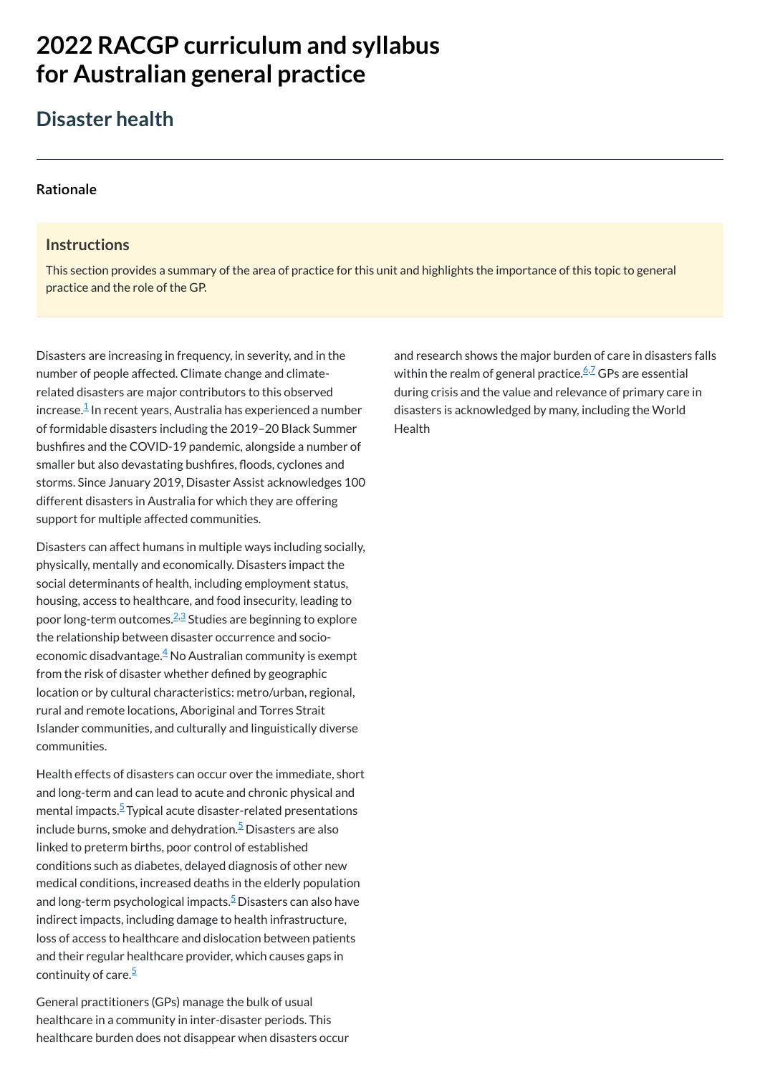# **2022 RACGP curriculum and syllabus for Australian [general practice](https://www.racgp.org.au/Curriculum-and-Syllabus/home)**

## **Disaster health**

#### **[Rationale](javascript:void(0))**

#### **Instructions**

This section provides a summary of the area of practice for this unit and highlights the importance of this topic to general practice and the role of the GP.

Disasters are increasing in frequency, in severity, and in the number of people affected. Climate change and climaterelated disasters are major contributors to this observed increase. $^{\underline{1}}$  $^{\underline{1}}$  $^{\underline{1}}$  In recent years, Australia has experienced a number of formidable disasters including the 2019–20 Black Summer bushfires and the COVID-19 pandemic, alongside a number of smaller but also devastating bushfires, floods, cyclones and storms. Since January 2019, Disaster Assist acknowledges 100 different disasters in Australia for which they are offering support for multiple affected communities.

Health effects of disasters can occur over the immediate, short and long-term and can lead to acute and chronic physical and mental impacts.<sup>[5](#page-1-4)</sup> Typical acute disaster-related presentations

Disasters can affect humans in multiple ways including socially, physically, mentally and economically. Disasters impact the social determinants of health, including employment status, housing, access to healthcare, and food insecurity, leading to poor long-term outcomes.<sup>[2](#page-1-1)[,3](#page-1-2)</sup> Studies are beginning to explore the relationship between disaster occurrence and socioeconomic disadvantage. $\frac{4}{3}$  $\frac{4}{3}$  $\frac{4}{3}$  No Australian community is exempt from the risk of disaster whether defined by geographic location or by cultural characteristics: metro/urban, regional, rural and remote locations, Aboriginal and Torres Strait Islander communities, and culturally and linguistically diverse communities.

and research shows the major burden of care in disasters falls within the realm of general practice.<sup><u>[6,](#page-1-5)[7](#page-1-6)</u> GPs are essential</sup> during crisis and the value and relevance of primary care in disasters is acknowledged by many, including the World **Health** 

include burns, smoke and dehydration.<sup>[5](#page-1-4)</sup> Disasters are also linked to preterm births, poor control of established conditions such as diabetes, delayed diagnosis of other new medical conditions, increased deaths in the elderly population and long-term psychological impacts.<sup>[5](#page-1-4)</sup> Disasters can also have indirect impacts, including damage to health infrastructure, loss of access to healthcare and dislocation between patients and their regular healthcare provider, which causes gaps in continuity of care. [5](#page-1-4)

General practitioners (GPs) manage the bulk of usual healthcare in a community in inter-disaster periods. This healthcare burden does not disappear when disasters occur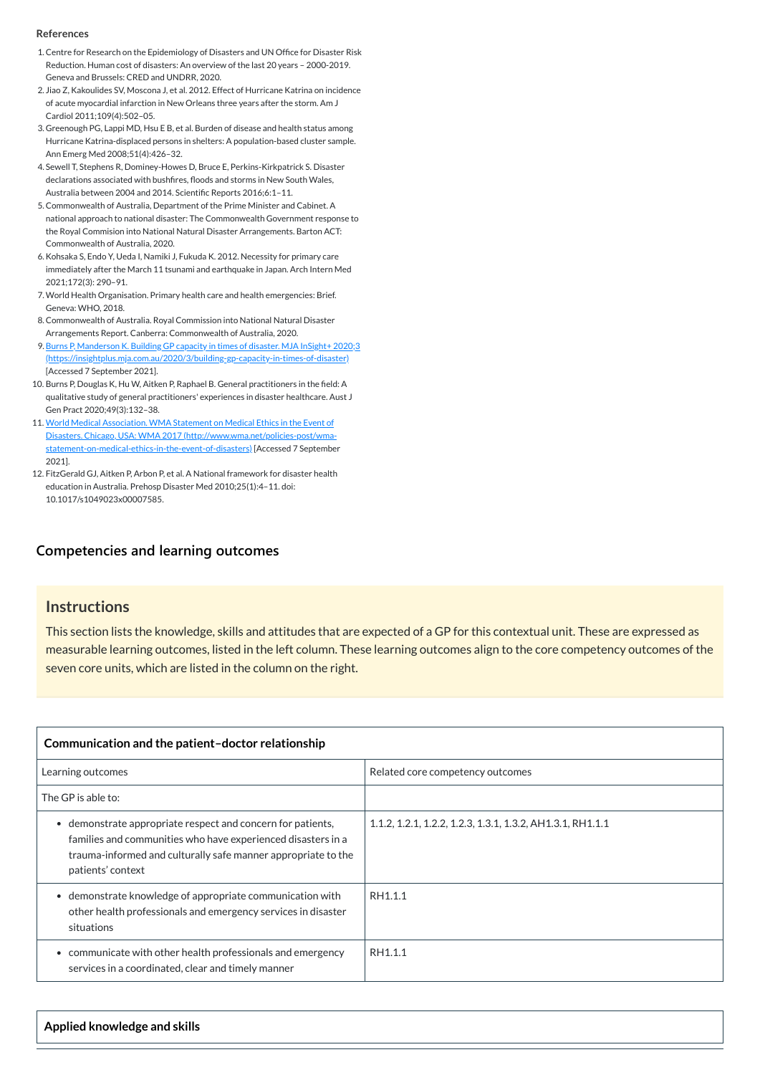#### **[Competencies and learning outcomes](javascript:void(0))**

#### **Instructions**

This section lists the knowledge, skills and attitudes that are expected of a GP for this contextual unit. These are expressed as measurable learning outcomes, listed in the left column. These learning outcomes align to the core competency outcomes of the seven core units, which are listed in the column on the right.

| Communication and the patient-doctor relationship |                                  |
|---------------------------------------------------|----------------------------------|
| Learning outcomes                                 | Related core competency outcomes |
| The GP is able to:                                |                                  |

| demonstrate appropriate respect and concern for patients,<br>families and communities who have experienced disasters in a<br>trauma-informed and culturally safe manner appropriate to the<br>patients' context | 1.1.2, 1.2.1, 1.2.2, 1.2.3, 1.3.1, 1.3.2, AH1.3.1, RH1.1.1 |
|-----------------------------------------------------------------------------------------------------------------------------------------------------------------------------------------------------------------|------------------------------------------------------------|
| • demonstrate knowledge of appropriate communication with<br>other health professionals and emergency services in disaster<br>situations                                                                        | RH1.1.1                                                    |
| communicate with other health professionals and emergency<br>services in a coordinated, clear and timely manner                                                                                                 | RH1.1.1                                                    |

**Applied knowledge and skills**

#### **References**

- <span id="page-1-0"></span>1.Centre for Research on the Epidemiology of Disasters and UN Office for Disaster Risk Reduction. Human cost of disasters: An overview of the last 20 years – 2000-2019. Geneva and Brussels: CRED and UNDRR, 2020.
- <span id="page-1-1"></span>2. Jiao Z, Kakoulides SV, Moscona J, et al. 2012. Effect of Hurricane Katrina on incidence of acute myocardial infarction in New Orleans three years after the storm. Am J Cardiol 2011;109(4):502–05.
- <span id="page-1-2"></span>3. Greenough PG, Lappi MD, Hsu E B, et al. Burden of disease and health status among Hurricane Katrina-displaced persons in shelters: A population-based cluster sample. Ann Emerg Med 2008;51(4):426–32.
- <span id="page-1-3"></span>4. Sewell T, Stephens R, Dominey-Howes D, Bruce E, Perkins-Kirkpatrick S. Disaster declarations associated with bushfires, floods and storms in New South Wales, Australia between 2004 and 2014. Scientific Reports 2016;6:1–11.
- <span id="page-1-4"></span>5.Commonwealth of Australia, Department of the Prime Minister and Cabinet. A national approach to national disaster: The Commonwealth Government response to the Royal Commision into National Natural Disaster Arrangements. Barton ACT: Commonwealth of Australia, 2020.
- <span id="page-1-5"></span>6.Kohsaka S, Endo Y, Ueda I, Namiki J, Fukuda K. 2012. Necessity for primary care immediately after the March 11 tsunami and earthquake in Japan. Arch Intern Med 2021;172(3): 290–91.
- <span id="page-1-6"></span>7.World Health Organisation. Primary health care and health emergencies: Brief. Geneva: WHO, 2018.
- 8.Commonwealth of Australia. Royal Commission into National Natural Disaster Arrangements Report. Canberra: Commonwealth of Australia, 2020.
- 9. Burns P, Manderson K. Building GP capacity in times of disaster. MJA InSight+ 2020;3 [\(https://insightplus.mja.com.au/2020/3/building-gp-capacity-in-times-of-disaster\)](https://insightplus.mja.com.au/2020/3/building-gp-capacity-in-times-of-disaster) [Accessed 7 September 2021].
- 10. Burns P, Douglas K, Hu W, Aitken P, Raphael B. General practitioners in the field: A qualitative study of general practitioners' experiences in disaster healthcare. Aust J Gen Pract 2020;49(3):132–38.
- 11. World Medical Association. WMA Statement on Medical Ethics in the Event of Disasters. Chicago, USA: WMA 2017 (http://www.wma.net/policies-post/wma[statement-on-medical-ethics-in-the-event-of-disasters\)](http://www.wma.net/policies-post/wma-statement-on-medical-ethics-in-the-event-of-disasters) [Accessed 7 September 2021].
- 12. FitzGerald GJ, Aitken P, Arbon P, et al. A National framework for disaster health education in Australia. Prehosp Disaster Med 2010;25(1):4–11. doi: 10.1017/s1049023x00007585.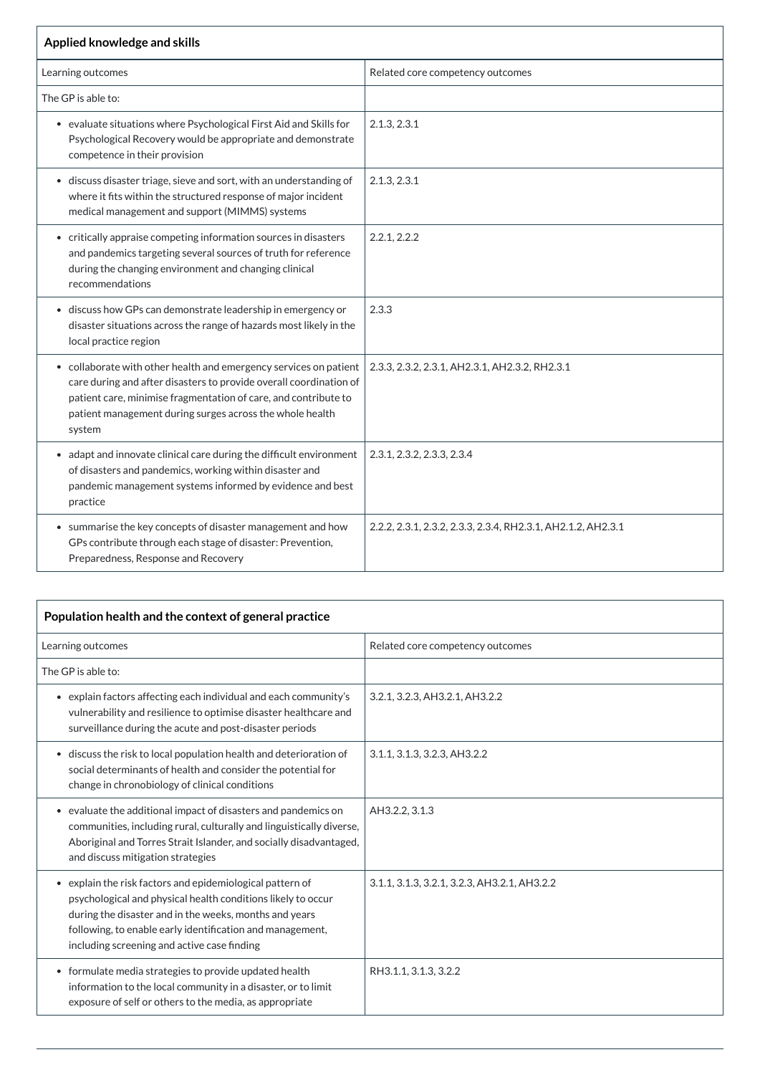| Applied knowledge and skills                                                                                                                                                                                                                                                     |                                                              |  |
|----------------------------------------------------------------------------------------------------------------------------------------------------------------------------------------------------------------------------------------------------------------------------------|--------------------------------------------------------------|--|
| Learning outcomes                                                                                                                                                                                                                                                                | Related core competency outcomes                             |  |
| The GP is able to:                                                                                                                                                                                                                                                               |                                                              |  |
| • evaluate situations where Psychological First Aid and Skills for<br>Psychological Recovery would be appropriate and demonstrate<br>competence in their provision                                                                                                               | 2.1.3, 2.3.1                                                 |  |
| • discuss disaster triage, sieve and sort, with an understanding of<br>where it fits within the structured response of major incident<br>medical management and support (MIMMS) systems                                                                                          | 2.1.3, 2.3.1                                                 |  |
| • critically appraise competing information sources in disasters<br>and pandemics targeting several sources of truth for reference<br>during the changing environment and changing clinical<br>recommendations                                                                   | 2.2.1, 2.2.2                                                 |  |
| • discuss how GPs can demonstrate leadership in emergency or<br>disaster situations across the range of hazards most likely in the<br>local practice region                                                                                                                      | 2.3.3                                                        |  |
| • collaborate with other health and emergency services on patient<br>care during and after disasters to provide overall coordination of<br>patient care, minimise fragmentation of care, and contribute to<br>patient management during surges across the whole health<br>system | 2.3.3, 2.3.2, 2.3.1, AH2.3.1, AH2.3.2, RH2.3.1               |  |
| • adapt and innovate clinical care during the difficult environment<br>of disasters and pandemics, working within disaster and<br>pandemic management systems informed by evidence and best<br>practice                                                                          | 2.3.1, 2.3.2, 2.3.3, 2.3.4                                   |  |
| • summarise the key concepts of disaster management and how<br>GPs contribute through each stage of disaster: Prevention,<br>Preparedness, Response and Recovery                                                                                                                 | 2.2.2, 2.3.1, 2.3.2, 2.3.3, 2.3.4, RH2.3.1, AH2.1.2, AH2.3.1 |  |

| Population health and the context of general practice                                                                                                                                                                                                                                           |                                              |
|-------------------------------------------------------------------------------------------------------------------------------------------------------------------------------------------------------------------------------------------------------------------------------------------------|----------------------------------------------|
| Learning outcomes                                                                                                                                                                                                                                                                               | Related core competency outcomes             |
| The GP is able to:                                                                                                                                                                                                                                                                              |                                              |
| • explain factors affecting each individual and each community's<br>vulnerability and resilience to optimise disaster healthcare and<br>surveillance during the acute and post-disaster periods                                                                                                 | 3.2.1, 3.2.3, AH3.2.1, AH3.2.2               |
| • discuss the risk to local population health and deterioration of<br>social determinants of health and consider the potential for<br>change in chronobiology of clinical conditions                                                                                                            | 3.1.1, 3.1.3, 3.2.3, AH3.2.2                 |
| • evaluate the additional impact of disasters and pandemics on<br>communities, including rural, culturally and linguistically diverse,<br>Aboriginal and Torres Strait Islander, and socially disadvantaged,<br>and discuss mitigation strategies                                               | AH3.2.2, 3.1.3                               |
| • explain the risk factors and epidemiological pattern of<br>psychological and physical health conditions likely to occur<br>during the disaster and in the weeks, months and years<br>following, to enable early identification and management,<br>including screening and active case finding | 3.1.1, 3.1.3, 3.2.1, 3.2.3, AH3.2.1, AH3.2.2 |
| • formulate media strategies to provide updated health<br>information to the local community in a disaster, or to limit<br>exposure of self or others to the media, as appropriate                                                                                                              | RH3.1.1, 3.1.3, 3.2.2                        |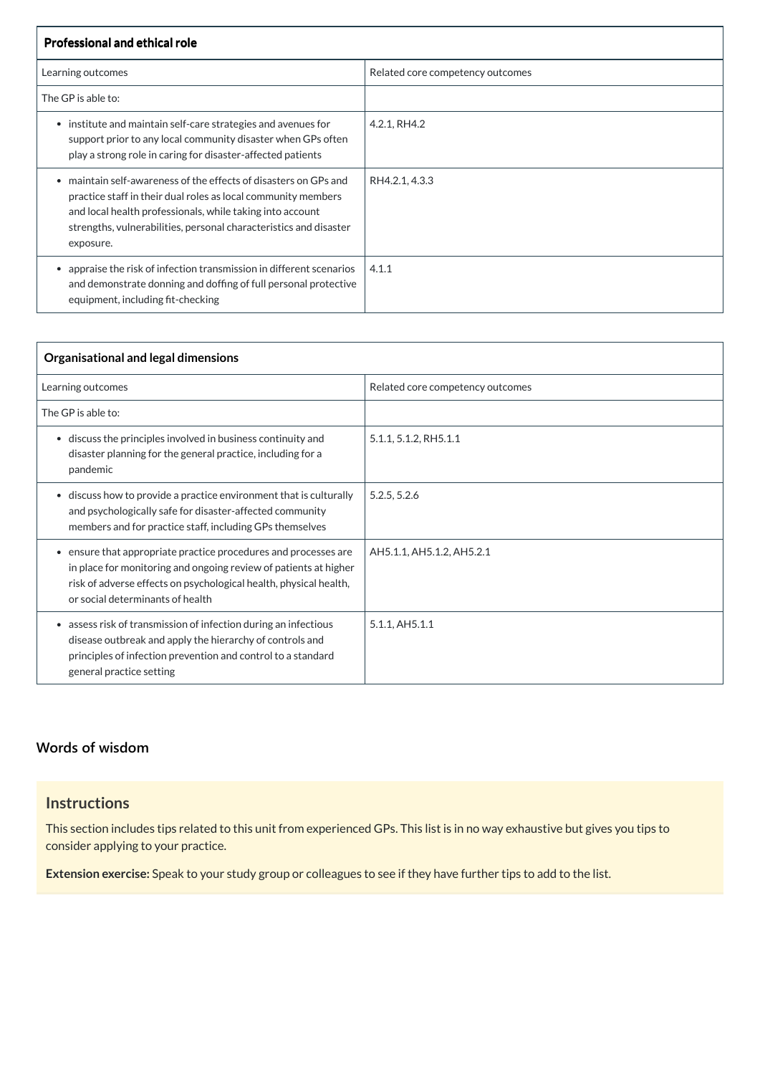| <b>Professional and ethical role</b>                                                                                                                                                                                                                                           |                                  |
|--------------------------------------------------------------------------------------------------------------------------------------------------------------------------------------------------------------------------------------------------------------------------------|----------------------------------|
| Learning outcomes                                                                                                                                                                                                                                                              | Related core competency outcomes |
| The GP is able to:                                                                                                                                                                                                                                                             |                                  |
| institute and maintain self-care strategies and avenues for<br>$\bullet$<br>support prior to any local community disaster when GPs often<br>play a strong role in caring for disaster-affected patients                                                                        | 4.2.1, RH4.2                     |
| maintain self-awareness of the effects of disasters on GPs and<br>practice staff in their dual roles as local community members<br>and local health professionals, while taking into account<br>strengths, vulnerabilities, personal characteristics and disaster<br>exposure. | RH4.2.1, 4.3.3                   |
| appraise the risk of infection transmission in different scenarios<br>and demonstrate donning and doffing of full personal protective<br>equipment, including fit-checking                                                                                                     | 4.1.1                            |

| Organisational and legal dimensions                                                                                                                                                                                                          |                                  |  |
|----------------------------------------------------------------------------------------------------------------------------------------------------------------------------------------------------------------------------------------------|----------------------------------|--|
| Learning outcomes                                                                                                                                                                                                                            | Related core competency outcomes |  |
| The GP is able to:                                                                                                                                                                                                                           |                                  |  |
| • discuss the principles involved in business continuity and<br>disaster planning for the general practice, including for a<br>pandemic                                                                                                      | 5.1.1, 5.1.2, RH5.1.1            |  |
| • discuss how to provide a practice environment that is culturally<br>and psychologically safe for disaster-affected community<br>members and for practice staff, including GPs themselves                                                   | 5.2.5, 5.2.6                     |  |
| • ensure that appropriate practice procedures and processes are<br>in place for monitoring and ongoing review of patients at higher<br>risk of adverse effects on psychological health, physical health,<br>or social determinants of health | AH5.1.1, AH5.1.2, AH5.2.1        |  |
| • assess risk of transmission of infection during an infectious<br>disease outbreak and apply the hierarchy of controls and<br>principles of infection prevention and control to a standard<br>general practice setting                      | 5.1.1, AH5.1.1                   |  |

## **[Words of wisdom](javascript:void(0))**

**Instructions**

This section includes tips related to this unit from experienced GPs. This list is in no way exhaustive but gives you tips to consider applying to your practice.

**Extension exercise:** Speak to your study group or colleagues to see if they have further tips to add to the list.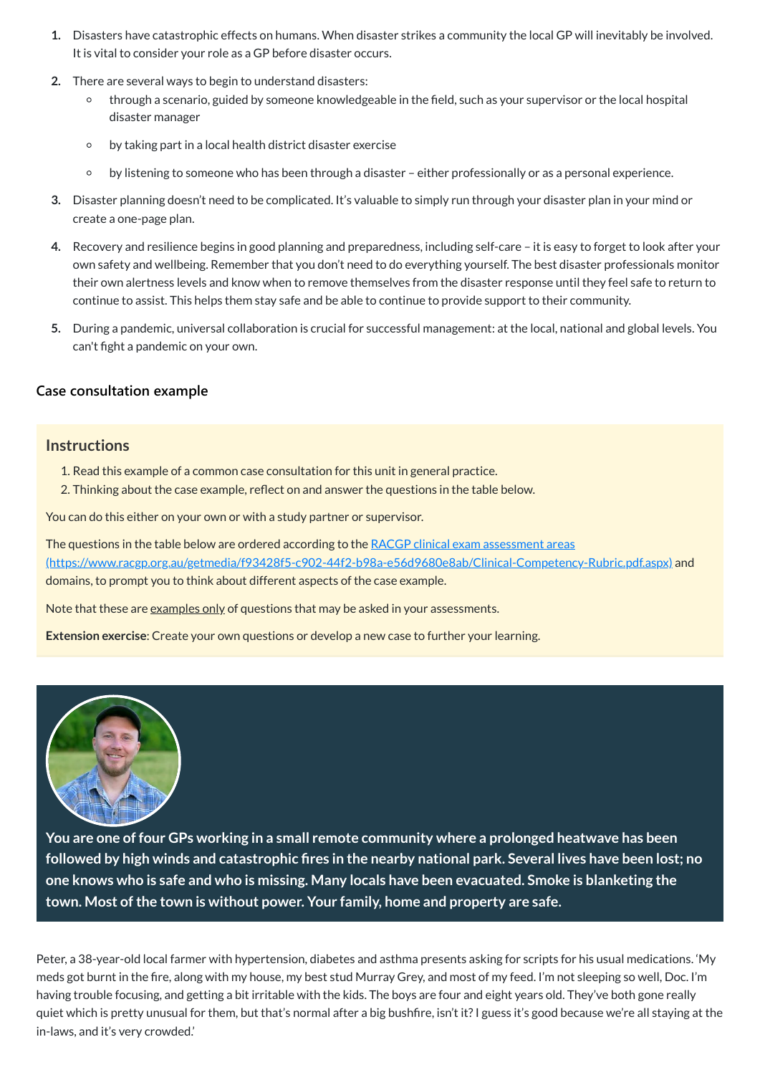- **1.** Disasters have catastrophic effects on humans. When disaster strikes a community the local GP will inevitably be involved. It is vital to consider your role as a GP before disaster occurs.
- **2.** There are several ways to begin to understand disasters:
	- $\circ$ through a scenario, guided by someone knowledgeable in the field, such as your supervisor or the local hospital disaster manager
	- by taking part in a local health district disaster exercise  $\circ$
	- by listening to someone who has been through a disaster either professionally or as a personal experience.  $\circ$
- **3.** Disaster planning doesn't need to be complicated. It's valuable to simply run through your disaster plan in your mind or create a one-page plan.
- **4.** Recovery and resilience begins in good planning and preparedness, including self-care it is easy to forget to look after your own safety and wellbeing. Remember that you don't need to do everything yourself. The best disaster professionals monitor their own alertness levels and know when to remove themselves from the disaster response until they feel safe to return to continue to assist. This helps them stay safe and be able to continue to provide support to their community.
- **5.** During a pandemic, universal collaboration is crucial for successful management: at the local, national and global levels. You can't fight a pandemic on your own.

The questions in the table below are ordered according to the RACGP clinical exam assessment areas [\(https://www.racgp.org.au/getmedia/f93428f5-c902-44f2-b98a-e56d9680e8ab/Clinical-Competency-Rubric.pdf.aspx\)](https://www.racgp.org.au/getmedia/f93428f5-c902-44f2-b98a-e56d9680e8ab/Clinical-Competency-Rubric.pdf.aspx) and domains, to prompt you to think about different aspects of the case example.

Note that these are examples only of questions that may be asked in your assessments.

#### **[Case consultation example](javascript:void(0))**

#### **Instructions**

- 1. Read this example of a common case consultation for this unit in general practice.
- 2. Thinking about the case example, reflect on and answer the questions in the table below.

You can do this either on your own or with a study partner or supervisor.

**Extension exercise**: Create your own questions or develop a new case to further your learning.





**You are one of four GPs working in a small remote community where a prolonged heatwave has been** followed by high winds and catastrophic fires in the nearby national park. Several lives have been lost; no **one knows who is safe and who is missing. Many locals have been evacuated. Smoke is blanketing the town. Most ofthe town is without power. Your family, home and property are safe.**

<span id="page-4-0"></span>Peter, a 38-year-old local farmer with hypertension, diabetes and asthma presents asking for scripts for his usual medications. 'My meds got burnt in the fire, along with my house, my best stud Murray Grey, and most of my feed. I'm not sleeping so well, Doc. I'm having trouble focusing, and getting a bit irritable with the kids. The boys are four and eight years old. They've both gone really quiet which is pretty unusual for them, but that's normal after a big bushfire, isn't it?I guess it's good because we're all staying at the in-laws, and it's very crowded.'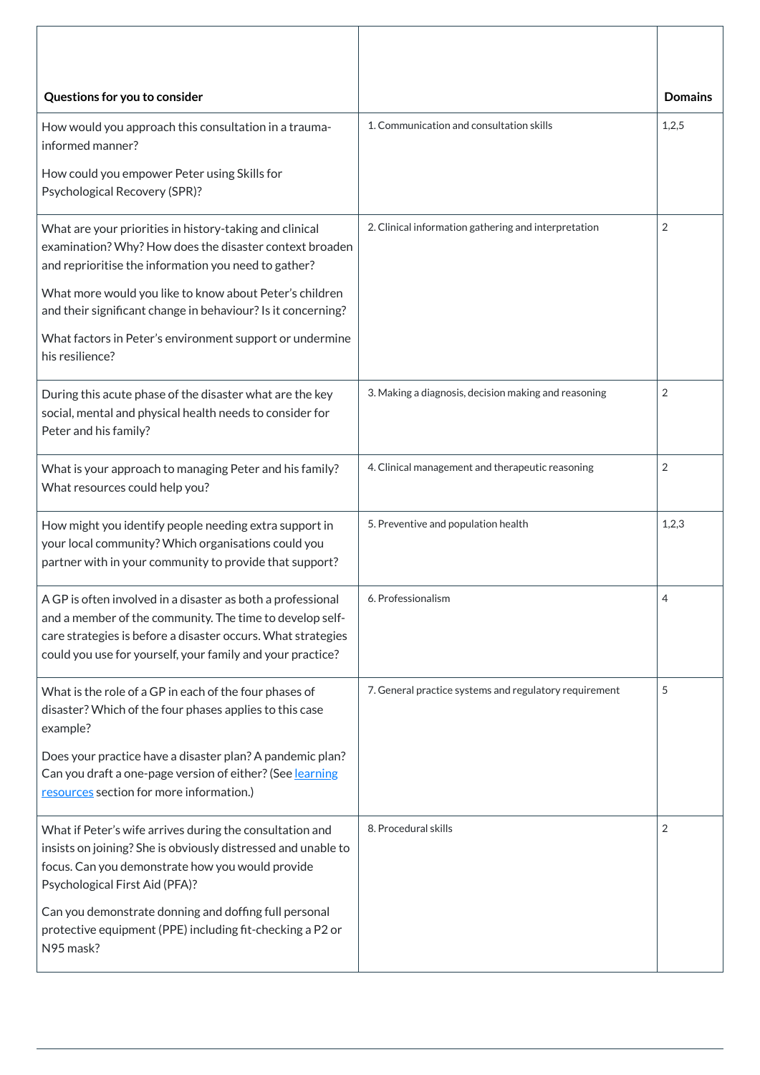| Questions for you to consider                                                                                                                                                                                                                         |                                                        | <b>Domains</b> |
|-------------------------------------------------------------------------------------------------------------------------------------------------------------------------------------------------------------------------------------------------------|--------------------------------------------------------|----------------|
| How would you approach this consultation in a trauma-<br>informed manner?                                                                                                                                                                             | 1. Communication and consultation skills               | 1,2,5          |
| How could you empower Peter using Skills for<br><b>Psychological Recovery (SPR)?</b>                                                                                                                                                                  |                                                        |                |
| What are your priorities in history-taking and clinical<br>examination? Why? How does the disaster context broaden<br>and reprioritise the information you need to gather?                                                                            | 2. Clinical information gathering and interpretation   | $\overline{2}$ |
| What more would you like to know about Peter's children<br>and their significant change in behaviour? Is it concerning?                                                                                                                               |                                                        |                |
| What factors in Peter's environment support or undermine<br>his resilience?                                                                                                                                                                           |                                                        |                |
| During this acute phase of the disaster what are the key<br>social, mental and physical health needs to consider for<br>Peter and his family?                                                                                                         | 3. Making a diagnosis, decision making and reasoning   | $\overline{2}$ |
| What is your approach to managing Peter and his family?<br>What resources could help you?                                                                                                                                                             | 4. Clinical management and therapeutic reasoning       | $\overline{2}$ |
| How might you identify people needing extra support in<br>your local community? Which organisations could you<br>partner with in your community to provide that support?                                                                              | 5. Preventive and population health                    | 1,2,3          |
| A GP is often involved in a disaster as both a professional<br>and a member of the community. The time to develop self-<br>care strategies is before a disaster occurs. What strategies<br>could you use for yourself, your family and your practice? | 6. Professionalism                                     | 4              |
| What is the role of a GP in each of the four phases of<br>disaster? Which of the four phases applies to this case<br>example?                                                                                                                         | 7. General practice systems and regulatory requirement | 5              |
| Does your practice have a disaster plan? A pandemic plan?<br>Can you draft a one-page version of either? (See learning<br>resources section for more information.)                                                                                    |                                                        |                |
| What if Peter's wife arrives during the consultation and<br>insists on joining? She is obviously distressed and unable to<br>focus. Can you demonstrate how you would provide<br>Psychological First Aid (PFA)?                                       | 8. Procedural skills                                   | $\overline{2}$ |
| Can you demonstrate donning and doffing full personal<br>protective equipment (PPE) including fit-checking a P2 or<br>N95 mask?                                                                                                                       |                                                        |                |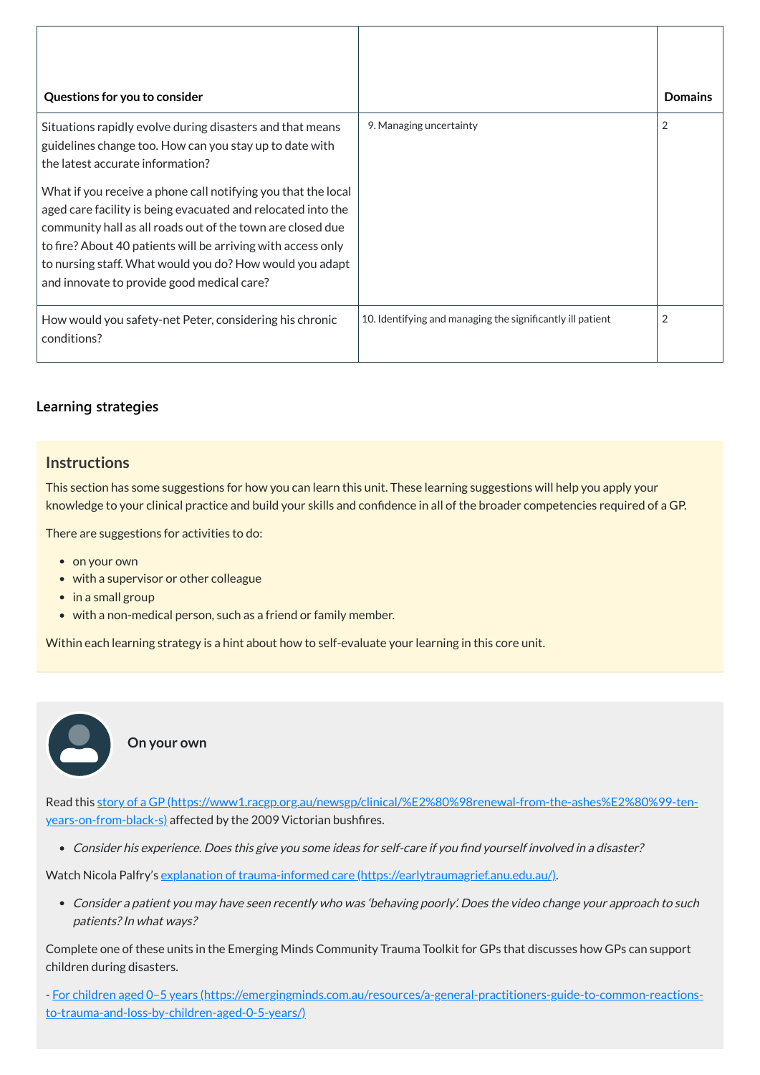| Questions for you to consider                                                                                                                                                                                                                                                                                                                                         |                                                            | <b>Domains</b> |
|-----------------------------------------------------------------------------------------------------------------------------------------------------------------------------------------------------------------------------------------------------------------------------------------------------------------------------------------------------------------------|------------------------------------------------------------|----------------|
| Situations rapidly evolve during disasters and that means<br>guidelines change too. How can you stay up to date with<br>the latest accurate information?                                                                                                                                                                                                              | 9. Managing uncertainty                                    | 2              |
| What if you receive a phone call notifying you that the local<br>aged care facility is being evacuated and relocated into the<br>community hall as all roads out of the town are closed due<br>to fire? About 40 patients will be arriving with access only<br>to nursing staff. What would you do? How would you adapt<br>and innovate to provide good medical care? |                                                            |                |
| How would you safety-net Peter, considering his chronic<br>conditions?                                                                                                                                                                                                                                                                                                | 10. Identifying and managing the significantly ill patient | $\overline{2}$ |

#### **[Learning strategies](javascript:void(0))**

## **Instructions**

This section has some suggestions for how you can learn this unit. These learning suggestions will help you apply your knowledge to your clinical practice and build your skills and confidence in all of the broader competencies required of a GP.

There are suggestions for activities to do:

• on your own

 $\bullet$  $\bullet$ 

- with a supervisor or other colleague
- in a small group
- with a non-medical person, such as a friend or family member.

Within each learning strategy is a hint about how to self-evaluate your learning in this core unit.

**On your own**

Read this story of a GP [\(https://www1.racgp.org.au/newsgp/clinical/%E2%80%98renewal-from-the-ashes%E2%80%99-ten-](https://www1.racgp.org.au/newsgp/clinical/%E2%80%98renewal-from-the-ashes%E2%80%99-ten-years-on-from-black-s)

years-on-from-black-s) affected by the 2009 Victorian bushfires.

Consider his experience. Does this give you some ideas for self-care if you find yourself involved in <sup>a</sup> disaster?

Watch Nicola Palfry's explanation of trauma-informed care [\(https://earlytraumagrief.anu.edu.au/\).](https://earlytraumagrief.anu.edu.au/)

Consider <sup>a</sup> patient you may have seen recently who was 'behaving poorly'. Does the video change your approach to such patients?In what ways?

Complete one of these units in the Emerging Minds Community Trauma Toolkit for GPs that discusses how GPs can support children during disasters.

- For children aged 0–5 years [\(https://emergingminds.com.au/resources/a-general-practitioners-guide-to-common-reactions](https://emergingminds.com.au/resources/a-general-practitioners-guide-to-common-reactions-to-trauma-and-loss-by-children-aged-0-5-years/)to-trauma-and-loss-by-children-aged-0-5-years/)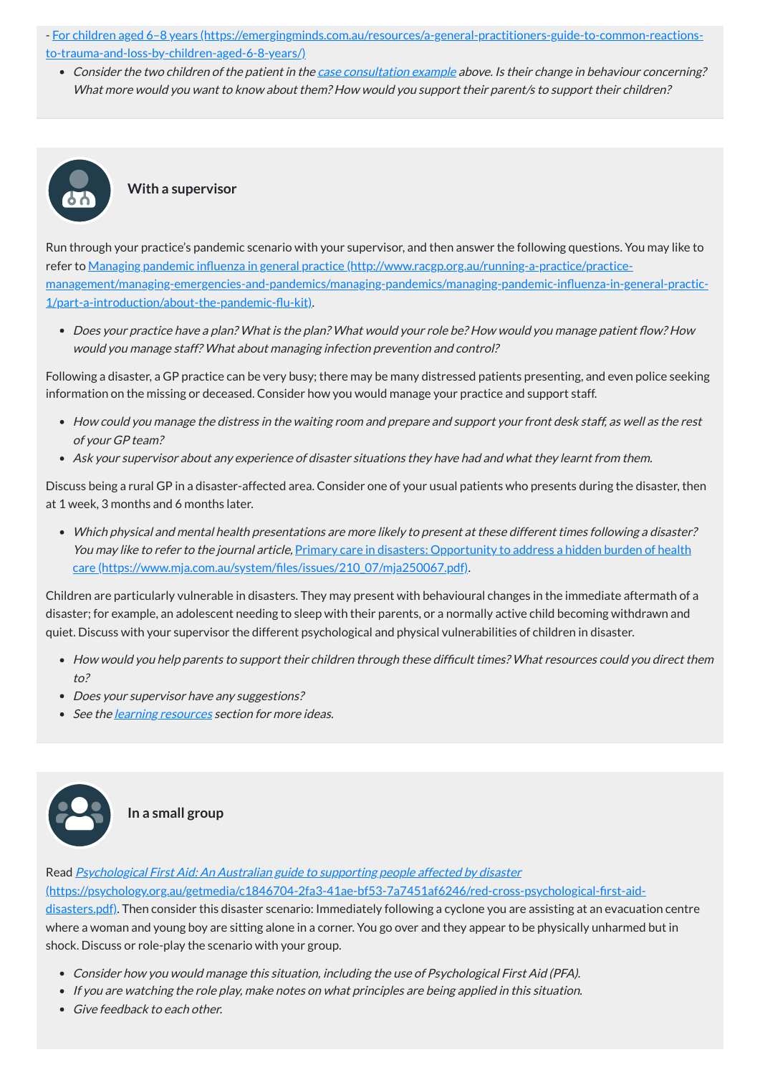- For children aged 6–8 years [\(https://emergingminds.com.au/resources/a-general-practitioners-guide-to-common-reactions](https://emergingminds.com.au/resources/a-general-practitioners-guide-to-common-reactions-to-trauma-and-loss-by-children-aged-6-8-years/)to-trauma-and-loss-by-children-aged-6-8-years/)
	- Consider the two children of the patient in the case [consultation](#page-4-0) example above. Is their change in behaviour concerning? What more would you want to know about them? How would you support their parent/s to support their children?

### **With a supervisor**

 $\frac{1}{60}$ 

Run through your practice's pandemic scenario with your supervisor, and then answer the following questions. You may like to refer to Managing pandemic influenza in general practice (http://www.racgp.org.au/running-a-practice/practice[management/managing-emergencies-and-pandemics/managing-pandemics/managing-pandemic-influenza-in-general-practic-](http://www.racgp.org.au/running-a-practice/practice-management/managing-emergencies-and-pandemics/managing-pandemics/managing-pandemic-influenza-in-general-practic-1/part-a-introduction/about-the-pandemic-flu-kit)1/part-a-introduction/about-the-pandemic-flu-kit).

Does your practice have <sup>a</sup> plan? What is the plan? What would your role be? How would you manage patient flow? How would you manage staff? What about managing infection prevention and control?

Following a disaster, a GP practice can be very busy; there may be many distressed patients presenting, and even police seeking information on the missing or deceased. Consider how you would manage your practice and support staff.

- How would you help parents to support their children through these difficult times? What resources could you direct them to?
- Does your supervisor have any suggestions?
- See the <u>[learning](#page-9-0) resources</u> section for more ideas.
- How could you manage the distress in the waiting room and prepare and support your front desk staff, as well as the rest of your GP team?
- Ask your supervisor about any experience of disaster situations they have had and what they learnt from them.

Read Psychological First Aid: An Australian guide to supporting people affected by disaster [\(https://psychology.org.au/getmedia/c1846704-2fa3-41ae-bf53-7a7451af6246/red-cross-psychological-first-aid](https://psychology.org.au/getmedia/c1846704-2fa3-41ae-bf53-7a7451af6246/red-cross-psychological-first-aid-disasters.pdf)disasters.pdf). Then consider this disaster scenario: Immediately following a cyclone you are assisting at an evacuation centre where a woman and young boy are sitting alone in a corner. You go over and they appear to be physically unharmed but in shock. Discuss or role-play the scenario with your group.

- Consider how you would manage this situation, including the use of Psychological First Aid (PFA).
- If you are watching the role play, make notes on what principles are being applied in this situation.
- Give feedback to each other.

Discuss being a rural GP in a disaster-affected area. Consider one of your usual patients who presents during the disaster, then at 1 week, 3 months and 6 months later.

Which physical and mental health presentations are more likely to present at these different times following <sup>a</sup> disaster? You may like to refer to the journal article, Primary care in disasters: Opportunity to address a hidden burden of health care [\(https://www.mja.com.au/system/files/issues/210\\_07/mja250067.pdf\)](https://www.mja.com.au/system/files/issues/210_07/mja250067.pdf).

Children are particularly vulnerable in disasters. They may present with behavioural changes in the immediate aftermath of a disaster; for example, an adolescent needing to sleep with their parents, or a normally active child becoming withdrawn and quiet. Discuss with your supervisor the different psychological and physical vulnerabilities of children in disaster.

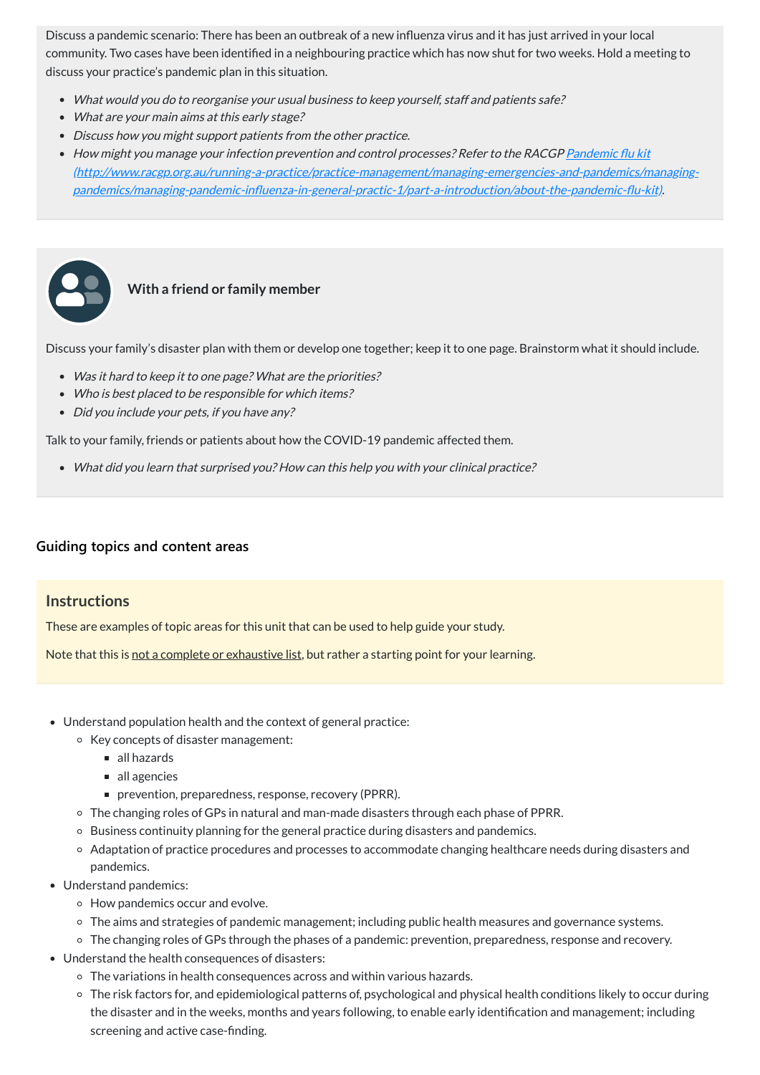Discuss a pandemic scenario: There has been an outbreak of a new influenza virus and it has just arrived in your local community. Two cases have been identified in a neighbouring practice which has now shut for two weeks. Hold a meeting to discuss your practice's pandemic plan in this situation.

- Was it hard to keep it to one page? What are the priorities?
- Who is best placed to be responsible for which items?
- Did you include your pets, if you have any?
- What would you do to reorganise your usual business to keep yourself, staff and patients safe?
- What are your main aims at this early stage?
- Discuss how you might support patients from the other practice.
- How might you manage your infection prevention and control processes? Refer to the RACGP <u>Pandemic flu kit</u> [\(http://www.racgp.org.au/running-a-practice/practice-management/managing-emergencies-and-pandemics/managing](http://www.racgp.org.au/running-a-practice/practice-management/managing-emergencies-and-pandemics/managing-pandemics/managing-pandemic-influenza-in-general-practic-1/part-a-introduction/about-the-pandemic-flu-kit)pandemics/managing-pandemic-influenza-in-general-practic-1/part-a-introduction/about-the-pandemic-flu-kit).



### **With a friend or family member**

Discuss your family's disaster plan with them or develop one together; keep it to one page. Brainstorm what it should include.

Talk to your family, friends or patients about how the COVID-19 pandemic affected them.

What did you learn that surprised you? How can this help you with your clinical practice?

#### **[Guiding topics and content areas](javascript:void(0))**

#### **Instructions**

These are examples of topic areas for this unit that can be used to help guide your study.

Note that this is not a complete or exhaustive list, but rather a starting point for your learning.

- Understand population health and the context of general practice:
	- Key concepts of disaster management:
		- all hazards
		- all agencies
		- prevention, preparedness, response, recovery (PPRR).
	- The changing roles of GPs in natural and man-made disasters through each phase of PPRR.
	- Business continuity planning for the general practice during disasters and pandemics.
	- Adaptation of practice procedures and processes to accommodate changing healthcare needs during disasters and pandemics.
- Understand pandemics:
	- How pandemics occur and evolve.
	- The aims and strategies of pandemic management; including public health measures and governance systems.
	- The changing roles of GPs through the phases of a pandemic: prevention, preparedness, response and recovery.
- Understand the health consequences of disasters:
	- The variations in health consequences across and within various hazards.
	- The risk factors for, and epidemiological patterns of, psychological and physical health conditions likely to occur during the disaster and in the weeks, months and years following, to enable early identification and management; including screening and active case-finding.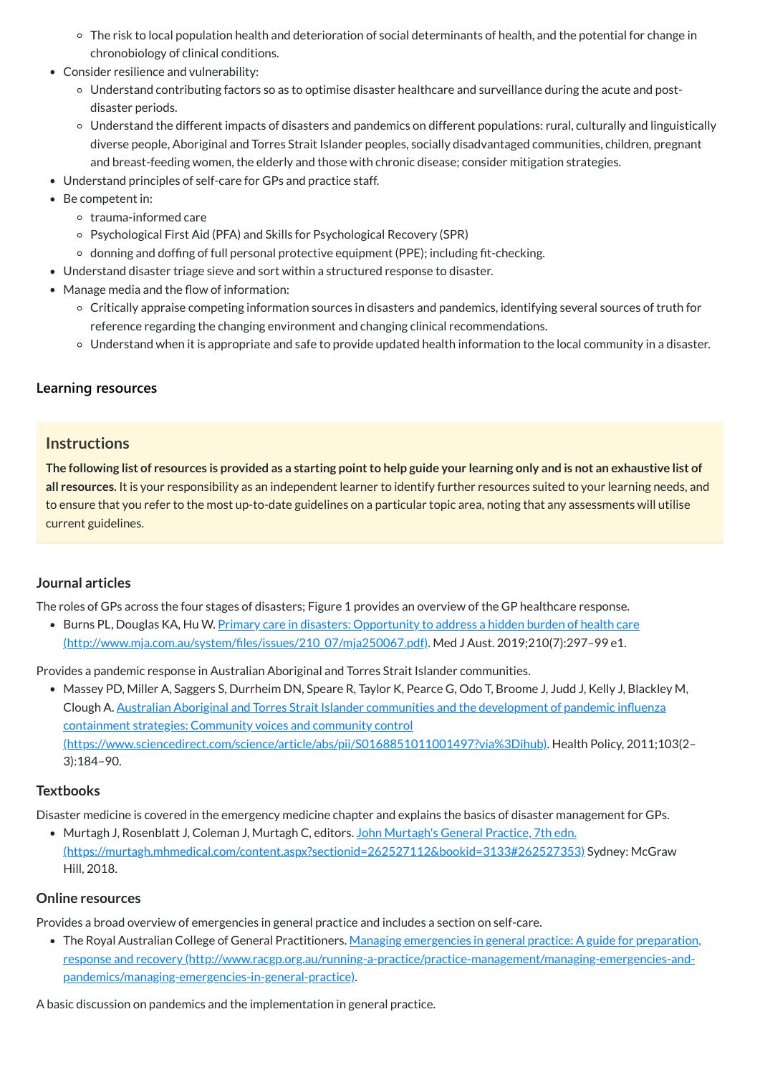- The risk to local population health and deterioration of social determinants of health, and the potential for change in chronobiology of clinical conditions.
- Consider resilience and vulnerability:
	- Understand contributing factors so as to optimise disaster healthcare and surveillance during the acute and postdisaster periods.
	- Understand the different impacts of disasters and pandemics on different populations: rural, culturally and linguistically diverse people, Aboriginal and Torres Strait Islander peoples, socially disadvantaged communities, children, pregnant and breast-feeding women, the elderly and those with chronic disease; consider mitigation strategies.
- Understand principles of self-care for GPs and practice staff.
- Be competent in:
	- o trauma-informed care
	- Psychological First Aid (PFA) and Skills for Psychological Recovery (SPR)
	- $\circ$  donning and doffing of full personal protective equipment (PPE); including fit-checking.
- Understand disaster triage sieve and sort within a structured response to disaster.
- Manage media and the flow of information:
	- Critically appraise competing information sources in disasters and pandemics, identifying several sources of truth for reference regarding the changing environment and changing clinical recommendations.
	- Understand when it is appropriate and safe to provide updated health information to the local community in a disaster.

The following list of resources is provided as a starting point to help guide your learning only and is not an exhaustive list of **all resources.** It is your responsibility as an independent learner to identify further resources suited to your learning needs, and to ensure that you refer to the most up-to-date guidelines on a particular topic area, noting that any assessments will utilise current guidelines.

• Burns PL, Douglas KA, Hu W. Primary care in disasters: Opportunity to address a hidden burden of health care [\(http://www.mja.com.au/system/files/issues/210\\_07/mja250067.pdf\).](http://www.mja.com.au/system/files/issues/210_07/mja250067.pdf) Med J Aust. 2019;210(7):297–99 e1.

## **[Learning resources](javascript:void(0))**

## **Instructions**

• The Royal Australian College of General Practitioners. Managing emergencies in general practice: A guide for preparation, response and recovery [\(http://www.racgp.org.au/running-a-practice/practice-management/managing-emergencies-and](http://www.racgp.org.au/running-a-practice/practice-management/managing-emergencies-and-pandemics/managing-emergencies-in-general-practice)pandemics/managing-emergencies-in-general-practice).

#### <span id="page-9-0"></span>**Journal articles**

The roles of GPs across the four stages of disasters; Figure 1 provides an overview of the GP healthcare response.

Provides a pandemic response in Australian Aboriginal and Torres Strait Islander communities.

Massey PD, Miller A, Saggers S, Durrheim DN, Speare R, Taylor K, Pearce G, Odo T, Broome J, Judd J, Kelly J, Blackley M, Clough A. Australian Aboriginal and Torres Strait Islander communities and the development of pandemic influenza containment strategies: Community voices and community control [\(https://www.sciencedirect.com/science/article/abs/pii/S0168851011001497?via%3Dihub\).](https://www.sciencedirect.com/science/article/abs/pii/S0168851011001497?via%3Dihub) Health Policy, 2011;103(2– 3):184–90.

#### **Textbooks**

Disaster medicine is covered in the emergency medicine chapter and explains the basics of disaster management for GPs.

• Murtagh J, Rosenblatt J, Coleman J, Murtagh C, editors. John Murtagh's General Practice, 7th edn.

[\(https://murtagh.mhmedical.com/content.aspx?sectionid=262527112&bookid=3133#262527353\)](https://murtagh.mhmedical.com/content.aspx?sectionid=262527112&bookid=3133#262527353) Sydney: McGraw Hill, 2018.

#### **Online resources**

Provides a broad overview of emergencies in general practice and includes a section on self-care.

A basic discussion on pandemics and the implementation in general practice.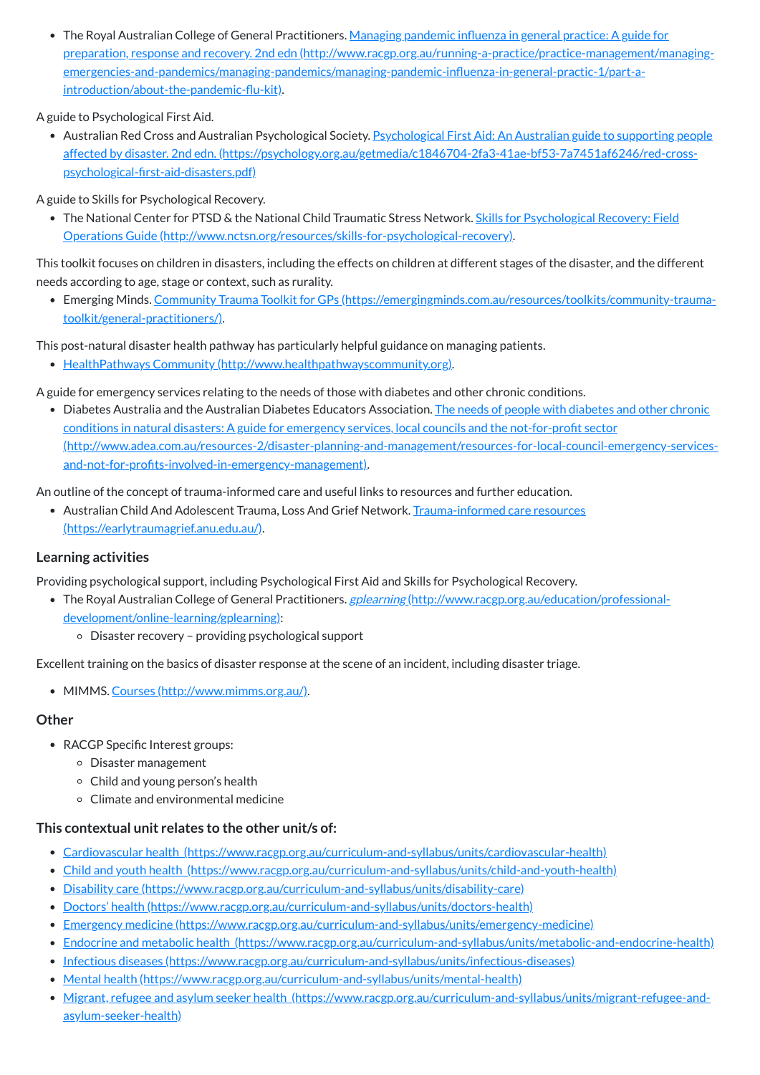• The Royal Australian College of General Practitioners. <u>Managing pandemic influenza in general practice: A guide for</u> preparation, response and recovery. 2nd edn (http://www.racgp.org.au/running-a-practice/practice-management/managing[emergencies-and-pandemics/managing-pandemics/managing-pandemic-influenza-in-general-practic-1/part-a](http://www.racgp.org.au/running-a-practice/practice-management/managing-emergencies-and-pandemics/managing-pandemics/managing-pandemic-influenza-in-general-practic-1/part-a-introduction/about-the-pandemic-flu-kit)introduction/about-the-pandemic-flu-kit).

• Australian Red Cross and Australian Psychological Society. Psychological First Aid: An Australian guide to supporting people affected by disaster. 2nd edn. [\(https://psychology.org.au/getmedia/c1846704-2fa3-41ae-bf53-7a7451af6246/red-cross](https://psychology.org.au/getmedia/c1846704-2fa3-41ae-bf53-7a7451af6246/red-cross-psychological-first-aid-disasters.pdf)psychological-first-aid-disasters.pdf)

A guide to Psychological First Aid.

• The National Center for PTSD & the National Child Traumatic Stress Network. Skills for Psychological Recovery: Field Operations Guide [\(http://www.nctsn.org/resources/skills-for-psychological-recovery\).](http://www.nctsn.org/resources/skills-for-psychological-recovery)

A guide to Skills for Psychological Recovery.

• Diabetes Australia and the Australian Diabetes Educators Association. The needs of people with diabetes and other chronic conditions in natural disasters: A guide for emergency services, local councils and the not-for-profit sector [\(http://www.adea.com.au/resources-2/disaster-planning-and-management/resources-for-local-council-emergency-services](http://www.adea.com.au/resources-2/disaster-planning-and-management/resources-for-local-council-emergency-services-and-not-for-profits-involved-in-emergency-management)and-not-for-profits-involved-in-emergency-management).

This toolkit focuses on children in disasters, including the effects on children at different stages of the disaster, and the different needs according to age, stage or context, such as rurality.

• Australian Child And Adolescent Trauma, Loss And Grief Network. Trauma-informed care resources [\(https://earlytraumagrief.anu.edu.au/\).](https://earlytraumagrief.anu.edu.au/)

Emerging Minds. Community Trauma Toolkit for GPs [\(https://emergingminds.com.au/resources/toolkits/community-trauma](https://emergingminds.com.au/resources/toolkits/community-trauma-toolkit/general-practitioners/)toolkit/general-practitioners/).

- The Royal Australian College of General Practitioners. *gplearning* [\(http://www.racgp.org.au/education/professional](http://www.racgp.org.au/education/professional-development/online-learning/gplearning)development/online-learning/gplearning):
	- Disaster recovery providing psychological support

This post-natural disaster health pathway has particularly helpful guidance on managing patients.

- RACGP Specific Interest groups:
	- Disaster management
	- Child and young person's health
	- Climate and environmental medicine

HealthPathways Community [\(http://www.healthpathwayscommunity.org\).](http://www.healthpathwayscommunity.org/)

A guide for emergency services relating to the needs of those with diabetes and other chronic conditions.

An outline of the concept of trauma-informed care and useful links to resources and further education.

#### **Learning activities**

Providing psychological support, including Psychological First Aid and Skills for Psychological Recovery.

Excellent training on the basics of disaster response at the scene of an incident, including disaster triage.

• MIMMS. Courses [\(http://www.mimms.org.au/\)](http://www.mimms.org.au/).

#### **Other**

#### **This contextual unit relates to the other unit/s of:**

- Cardiovascular health [\(https://www.racgp.org.au/curriculum-and-syllabus/units/cardiovascular-health\)](https://www.racgp.org.au/curriculum-and-syllabus/units/cardiovascular-health)
- Child and youth health [\(https://www.racgp.org.au/curriculum-and-syllabus/units/child-and-youth-health\)](https://www.racgp.org.au/curriculum-and-syllabus/units/child-and-youth-health)
- Disability care [\(https://www.racgp.org.au/curriculum-and-syllabus/units/disability-care\)](https://www.racgp.org.au/curriculum-and-syllabus/units/disability-care)
- Doctors' health [\(https://www.racgp.org.au/curriculum-and-syllabus/units/doctors-health\)](https://www.racgp.org.au/curriculum-and-syllabus/units/doctors-health)
- Emergency medicine [\(https://www.racgp.org.au/curriculum-and-syllabus/units/emergency-medicine\)](https://www.racgp.org.au/curriculum-and-syllabus/units/emergency-medicine)
- Endocrine and metabolic health [\(https://www.racgp.org.au/curriculum-and-syllabus/units/metabolic-and-endocrine-health\)](https://www.racgp.org.au/curriculum-and-syllabus/units/metabolic-and-endocrine-health)
- Infectious diseases [\(https://www.racgp.org.au/curriculum-and-syllabus/units/infectious-diseases\)](https://www.racgp.org.au/curriculum-and-syllabus/units/infectious-diseases)
- Mental health [\(https://www.racgp.org.au/curriculum-and-syllabus/units/mental-health\)](https://www.racgp.org.au/curriculum-and-syllabus/units/mental-health)
- Migrant, refugee and asylum seeker health [\(https://www.racgp.org.au/curriculum-and-syllabus/units/migrant-refugee-and](https://www.racgp.org.au/curriculum-and-syllabus/units/migrant-refugee-and-asylum-seeker-health)asylum-seeker-health)